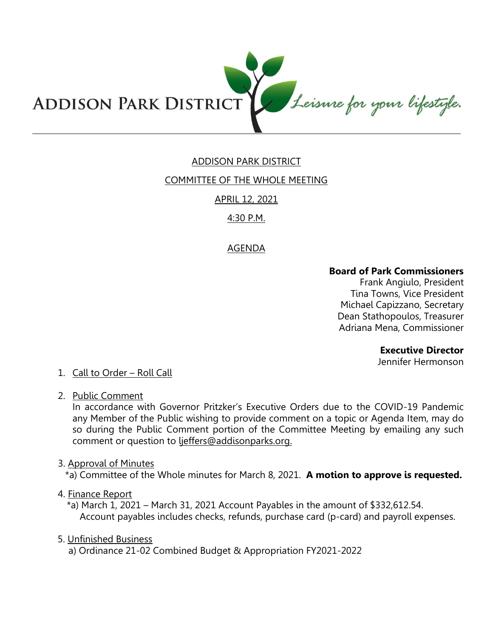

# ADDISON PARK DISTRICT

## COMMITTEE OF THE WHOLE MEETING

# APRIL 12, 2021

## 4:30 P.M.

## AGENDA

### **Board of Park Commissioners**

Frank Angiulo, President Tina Towns, Vice President Michael Capizzano, Secretary Dean Stathopoulos, Treasurer Adriana Mena, Commissioner

### **Executive Director**

Jennifer Hermonson

## 1. Call to Order – Roll Call

2. Public Comment

In accordance with Governor Pritzker's Executive Orders due to the COVID-19 Pandemic any Member of the Public wishing to provide comment on a topic or Agenda Item, may do so during the Public Comment portion of the Committee Meeting by emailing any such comment or question to ljeffers@addisonparks.org.

3. Approval of Minutes

\*a) Committee of the Whole minutes for March 8, 2021. **A motion to approve is requested.** 

### 4. Finance Report

\*a) March 1, 2021 – March 31, 2021 Account Payables in the amount of \$332,612.54. Account payables includes checks, refunds, purchase card (p-card) and payroll expenses.

### 5. Unfinished Business

a) Ordinance 21-02 Combined Budget & Appropriation FY2021-2022